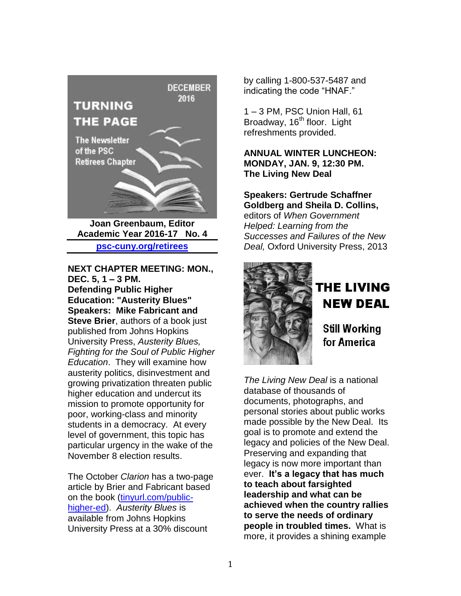

**Joan Greenbaum, Editor Academic Year 2016-17 No. 4 [psc-cuny.org/retirees](http://psc-cuny.org/retirees)**

## **NEXT CHAPTER MEETING: MON., DEC. 5, 1 – 3 PM.**

**Defending Public Higher Education: "Austerity Blues" Speakers: Mike Fabricant and Steve Brier**, authors of a book just published from Johns Hopkins University Press, *Austerity Blues, Fighting for the Soul of Public Higher Education*. They will examine how austerity politics, disinvestment and growing privatization threaten public higher education and undercut its mission to promote opportunity for poor, working-class and minority students in a democracy. At every level of government, this topic has particular urgency in the wake of the November 8 election results.

The October *Clarion* has a two-page article by Brier and Fabricant based on the book [\(tinyurl.com/public](http://tinyurl.com/public-higher-ed)[higher-ed\)](http://tinyurl.com/public-higher-ed). *Austerity Blues* is available from Johns Hopkins University Press at a 30% discount

by calling 1-800-537-5487 and indicating the code "HNAF."

1 – 3 PM, PSC Union Hall, 61 Broadway, 16<sup>th</sup> floor. Light refreshments provided.

#### **ANNUAL WINTER LUNCHEON: MONDAY, JAN. 9, 12:30 PM. The Living New Deal**

**Speakers: Gertrude Schaffner Goldberg and Sheila D. Collins,**  editors of *When Government Helped: Learning from the Successes and Failures of the New Deal,* Oxford University Press, 2013



# **THE LIVING NEW DEAL**

**Still Working** for America

*The Living New Deal* is a national database of thousands of documents, photographs, and personal stories about public works made possible by the New Deal. Its goal is to promote and extend the legacy and policies of the New Deal. Preserving and expanding that legacy is now more important than ever. **It's a legacy that has much to teach about farsighted leadership and what can be achieved when the country rallies to serve the needs of ordinary people in troubled times.** What is more, it provides a shining example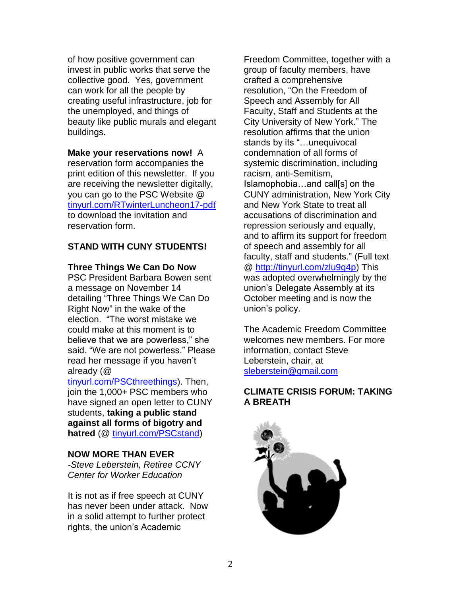of how positive government can invest in public works that serve the collective good. Yes, government can work for all the people by creating useful infrastructure, job for the unemployed, and things of beauty like public murals and elegant buildings.

**Make your reservations now!** A reservation form accompanies the print edition of this newsletter. If you are receiving the newsletter digitally, you can go to the PSC Website @ [tinyurl.com/RTwinterLuncheon17-pd](http://tinyurl.com/RTwinterLuncheon17-pdf)f to download the invitation and reservation form.

## **STAND WITH CUNY STUDENTS!**

#### **Three Things We Can Do Now**

PSC President Barbara Bowen sent a message on November 14 detailing "Three Things We Can Do Right Now" in the wake of the election. "The worst mistake we could make at this moment is to believe that we are powerless," she said. "We are not powerless." Please read her message if you haven't already (@

[tinyurl.com/PSCthreethings\)](http://tinyurl.com/PSCthreethings). Then, join the 1,000+ PSC members who have signed an open letter to CUNY students, **taking a public stand against all forms of bigotry and hatred** (@ [tinyurl.com/PSCstand\)](http://tinyurl.com/PSCstand)

#### **NOW MORE THAN EVER**

*-Steve Leberstein, Retiree CCNY Center for Worker Education*

It is not as if free speech at CUNY has never been under attack. Now in a solid attempt to further protect rights, the union's Academic

Freedom Committee, together with a group of faculty members, have crafted a comprehensive resolution, "On the Freedom of Speech and Assembly for All Faculty, Staff and Students at the City University of New York." The resolution affirms that the union stands by its "…unequivocal condemnation of all forms of systemic discrimination, including racism, anti-Semitism, Islamophobia…and call[s] on the CUNY administration, New York City and New York State to treat all accusations of discrimination and repression seriously and equally, and to affirm its support for freedom of speech and assembly for all faculty, staff and students." (Full text @ [http://tinyurl.com/zlu9g4p\)](http://tinyurl.com/zlu9g4p) This was adopted overwhelmingly by the union's Delegate Assembly at its October meeting and is now the union's policy.

The Academic Freedom Committee welcomes new members. For more information, contact Steve Leberstein, chair, at [sleberstein@gmail.com](mailto:sleberstein@gmail.com)

#### **CLIMATE CRISIS FORUM: TAKING A BREATH**

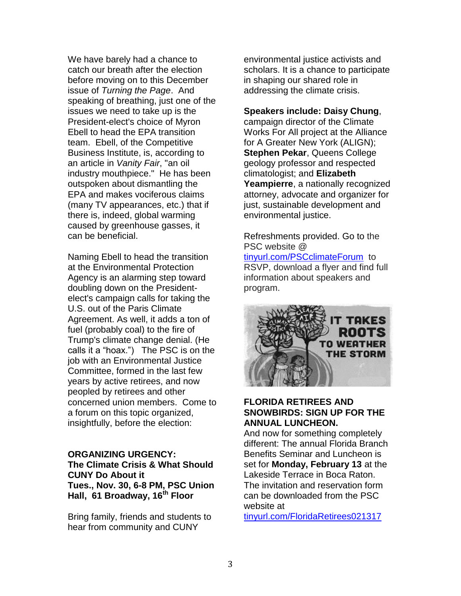We have barely had a chance to catch our breath after the election before moving on to this December issue of *Turning the Page*. And speaking of breathing, just one of the issues we need to take up is the President-elect's choice of Myron Ebell to head the EPA transition team. Ebell, of the Competitive Business Institute, is, according to an article in *Vanity Fair*, "an oil industry mouthpiece." He has been outspoken about dismantling the EPA and makes vociferous claims (many TV appearances, etc.) that if there is, indeed, global warming caused by greenhouse gasses, it can be beneficial.

Naming Ebell to head the transition at the Environmental Protection Agency is an alarming step toward doubling down on the Presidentelect's campaign calls for taking the U.S. out of the Paris Climate Agreement. As well, it adds a ton of fuel (probably coal) to the fire of Trump's climate change denial. (He calls it a "hoax.") The PSC is on the job with an Environmental Justice Committee, formed in the last few years by active retirees, and now peopled by retirees and other concerned union members. Come to a forum on this topic organized, insightfully, before the election:

#### **ORGANIZING URGENCY: The Climate Crisis & What Should CUNY Do About it Tues., Nov. 30, 6-8 PM, PSC Union Hall, 61 Broadway, 16th Floor**

Bring family, friends and students to hear from community and CUNY

environmental justice activists and scholars. It is a chance to participate in shaping our shared role in addressing the climate crisis.

**Speakers include: Daisy Chung**, campaign director of the Climate Works For All project at the Alliance for A Greater New York (ALIGN); **Stephen Pekar**, Queens College geology professor and respected climatologist; and **Elizabeth Yeampierre**, a nationally recognized attorney, advocate and organizer for just, sustainable development and environmental justice.

Refreshments provided. Go to the PSC website @ [tinyurl.com/PSCclimateForum](http://tinyurl.com/PSCclimateForum) to

RSVP, download a flyer and find full information about speakers and program.



#### **FLORIDA RETIREES AND SNOWBIRDS: SIGN UP FOR THE ANNUAL LUNCHEON.**

And now for something completely different: The annual Florida Branch Benefits Seminar and Luncheon is set for **Monday, February 13** at the Lakeside Terrace in Boca Raton. The invitation and reservation form can be downloaded from the PSC website at

[tinyurl.com/FloridaRetirees021317](http://tinyurl.com/FloridaRetirees021317)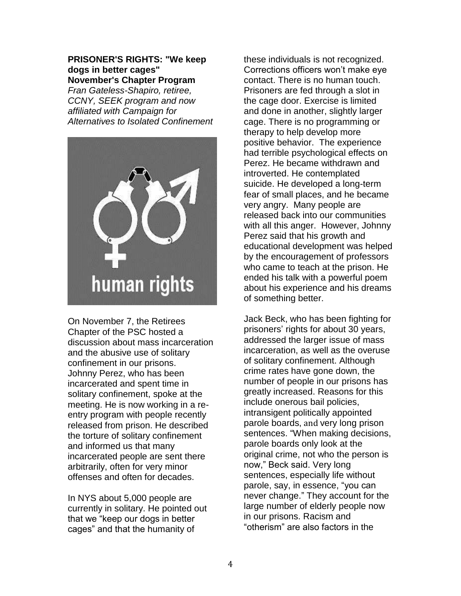**PRISONER'S RIGHTS: "We keep dogs in better cages" November's Chapter Program**

*Fran Gateless-Shapiro, retiree, CCNY, SEEK program and now affiliated with Campaign for Alternatives to Isolated Confinement*



On November 7, the Retirees Chapter of the PSC hosted a discussion about mass incarceration and the abusive use of solitary confinement in our prisons. Johnny Perez, who has been incarcerated and spent time in solitary confinement, spoke at the meeting. He is now working in a reentry program with people recently released from prison. He described the torture of solitary confinement and informed us that many incarcerated people are sent there arbitrarily, often for very minor offenses and often for decades.

In NYS about 5,000 people are currently in solitary. He pointed out that we "keep our dogs in better cages" and that the humanity of

these individuals is not recognized. Corrections officers won't make eye contact. There is no human touch. Prisoners are fed through a slot in the cage door. Exercise is limited and done in another, slightly larger cage. There is no programming or therapy to help develop more positive behavior. The experience had terrible psychological effects on Perez. He became withdrawn and introverted. He contemplated suicide. He developed a long-term fear of small places, and he became very angry. Many people are released back into our communities with all this anger. However, Johnny Perez said that his growth and educational development was helped by the encouragement of professors who came to teach at the prison. He ended his talk with a powerful poem about his experience and his dreams of something better.

Jack Beck, who has been fighting for prisoners' rights for about 30 years, addressed the larger issue of mass incarceration, as well as the overuse of solitary confinement. Although crime rates have gone down, the number of people in our prisons has greatly increased. Reasons for this include onerous bail policies, intransigent politically appointed parole boards, and very long prison sentences. "When making decisions, parole boards only look at the original crime, not who the person is now," Beck said. Very long sentences, especially life without parole, say, in essence, "you can never change." They account for the large number of elderly people now in our prisons. Racism and "otherism" are also factors in the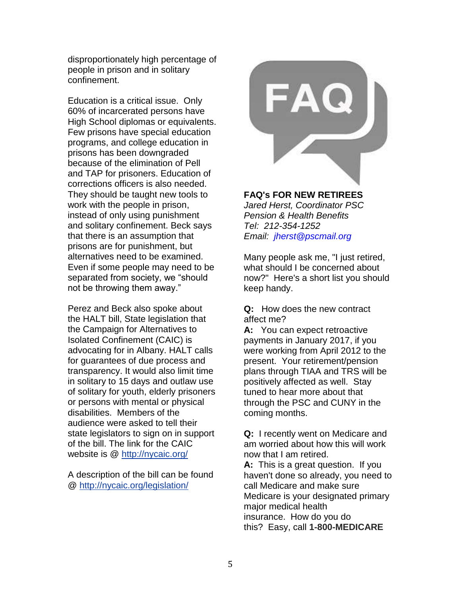disproportionately high percentage of people in prison and in solitary confinement.

Education is a critical issue. Only 60% of incarcerated persons have High School diplomas or equivalents. Few prisons have special education programs, and college education in prisons has been downgraded because of the elimination of Pell and TAP for prisoners. Education of corrections officers is also needed. They should be taught new tools to work with the people in prison, instead of only using punishment and solitary confinement. Beck says that there is an assumption that prisons are for punishment, but alternatives need to be examined. Even if some people may need to be separated from society, we "should not be throwing them away."

Perez and Beck also spoke about the HALT bill, State legislation that the Campaign for Alternatives to Isolated Confinement (CAIC) is advocating for in Albany. HALT calls for guarantees of due process and transparency. It would also limit time in solitary to 15 days and outlaw use of solitary for youth, elderly prisoners or persons with mental or physical disabilities. Members of the audience were asked to tell their state legislators to sign on in support of the bill. The link for the CAIC website is @ <http://nycaic.org/>

A description of the bill can be found @ <http://nycaic.org/legislation/>



## **FAQ's FOR NEW RETIREES**

*Jared Herst, Coordinator PSC Pension & Health Benefits Tel: 212-354-1252 Email: [jherst@pscmail.org](mailto:jherst@pscmail.org)*

Many people ask me, "I just retired, what should I be concerned about now?" Here's a short list you should keep handy.

**Q:** How does the new contract affect me?

**A:** You can expect retroactive payments in January 2017, if you were working from April 2012 to the present. Your retirement/pension plans through TIAA and TRS will be positively affected as well. Stay tuned to hear more about that through the PSC and CUNY in the coming months.

**Q:** I recently went on Medicare and am worried about how this will work now that I am retired.

**A:** This is a great question. If you haven't done so already, you need to call Medicare and make sure Medicare is your designated primary major medical health insurance. How do you do this? Easy, call **1-800-MEDICARE**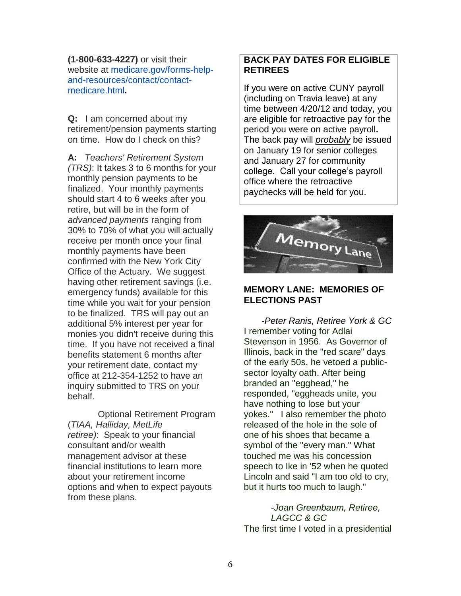**(1-800-633-4227)** or visit their website at [medicare.gov/forms-help](https://www.medicare.gov/forms-help-and-resources/contact/contact-medicare.html)[and-resources/contact/contact](https://www.medicare.gov/forms-help-and-resources/contact/contact-medicare.html)[medicare.html](https://www.medicare.gov/forms-help-and-resources/contact/contact-medicare.html)**.**

**Q:** I am concerned about my retirement/pension payments starting on time. How do I check on this?

**A:** *Teachers' Retirement System (TRS)*: It takes 3 to 6 months for your monthly pension payments to be finalized. Your monthly payments should start 4 to 6 weeks after you retire, but will be in the form of *advanced payments* ranging from 30% to 70% of what you will actually receive per month once your final monthly payments have been confirmed with the New York City Office of the Actuary. We suggest having other retirement savings (i.e. emergency funds) available for this time while you wait for your pension to be finalized. TRS will pay out an additional 5% interest per year for monies you didn't receive during this time. If you have not received a final benefits statement 6 months after your retirement date, contact my office at 212-354-1252 to have an inquiry submitted to TRS on your behalf.

Optional Retirement Program (*TIAA, Halliday, MetLife retiree)*: Speak to your financial consultant and/or wealth management advisor at these financial institutions to learn more about your retirement income options and when to expect payouts from these plans.

# **BACK PAY DATES FOR ELIGIBLE RETIREES**

If you were on active CUNY payroll (including on Travia leave) at any time between 4/20/12 and today, you are eligible for retroactive pay for the period you were on active payroll**.**  The back pay will *probably* be issued on January 19 for senior colleges and January 27 for community college. Call your college's payroll office where the retroactive paychecks will be held for you.



## **MEMORY LANE: MEMORIES OF ELECTIONS PAST**

 *-Peter Ranis, Retiree York & GC* I remember voting for Adlai Stevenson in 1956. As Governor of Illinois, back in the "red scare" days of the early 50s, he vetoed a publicsector loyalty oath. After being branded an "egghead," he responded, "eggheads unite, you have nothing to lose but your yokes." I also remember the photo released of the hole in the sole of one of his shoes that became a symbol of the "every man." What touched me was his concession speech to Ike in '52 when he quoted Lincoln and said "I am too old to cry, but it hurts too much to laugh."

*-Joan Greenbaum, Retiree, LAGCC & GC* The first time I voted in a presidential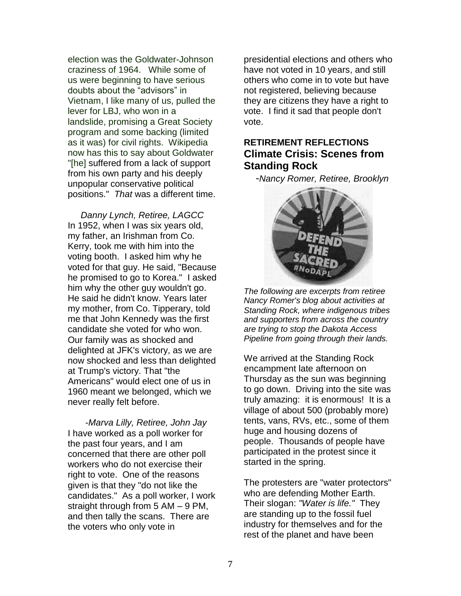election was the Goldwater-Johnson craziness of 1964. While some of us were beginning to have serious doubts about the "advisors" in Vietnam, I like many of us, pulled the lever for LBJ, who won in a landslide, promising a Great Society program and some backing (limited as it was) for civil rights. Wikipedia now has this to say about Goldwater "[he] suffered from a lack of support from his own party and his deeply unpopular conservative political positions." *That* was a different time.

*Danny Lynch, Retiree, LAGCC* In 1952, when I was six years old, my father, an Irishman from Co. Kerry, took me with him into the voting booth. I asked him why he voted for that guy. He said, "Because he promised to go to Korea." I asked him why the other guy wouldn't go. He said he didn't know. Years later my mother, from Co. Tipperary, told me that John Kennedy was the first candidate she voted for who won. Our family was as shocked and delighted at JFK's victory, as we are now shocked and less than delighted at Trump's victory. That "the Americans" would elect one of us in 1960 meant we belonged, which we never really felt before.

 -*Marva Lilly, Retiree, John Jay* I have worked as a poll worker for the past four years, and I am concerned that there are other poll workers who do not exercise their right to vote. One of the reasons given is that they "do not like the candidates." As a poll worker, I work straight through from 5 AM – 9 PM, and then tally the scans. There are the voters who only vote in

presidential elections and others who have not voted in 10 years, and still others who come in to vote but have not registered, believing because they are citizens they have a right to vote. I find it sad that people don't vote.

# **RETIREMENT REFLECTIONS Climate Crisis: Scenes from Standing Rock**

-*Nancy Romer, Retiree, Brooklyn*



*The following are excerpts from retiree Nancy Romer's blog about activities at Standing Rock, where indigenous tribes and supporters from across the country are trying to stop the Dakota Access Pipeline from going through their lands.* 

We arrived at the Standing Rock encampment late afternoon on Thursday as the sun was beginning to go down. Driving into the site was truly amazing: it is enormous! It is a village of about 500 (probably more) tents, vans, RVs, etc., some of them huge and housing dozens of people. Thousands of people have participated in the protest since it started in the spring.

The protesters are "water protectors" who are defending Mother Earth. Their slogan: *"Water is life."* They are standing up to the fossil fuel industry for themselves and for the rest of the planet and have been